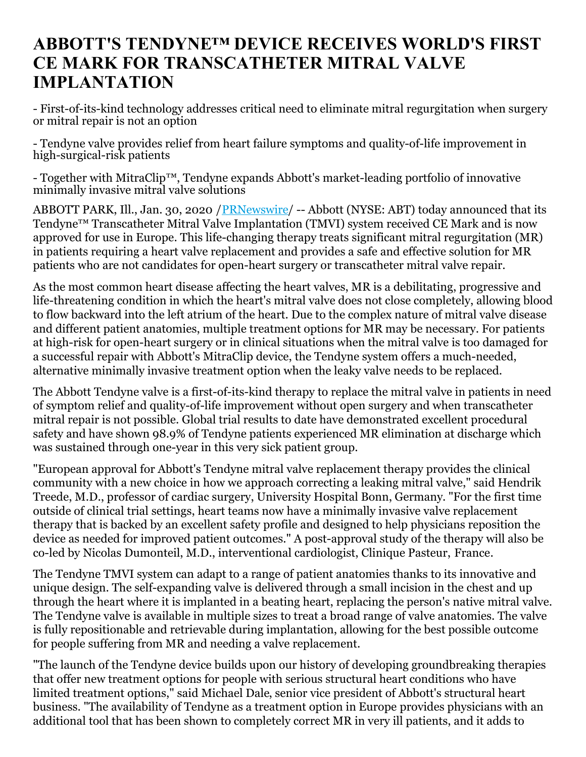## **ABBOTT'S TENDYNE™ DEVICE RECEIVES WORLD'S FIRST CE MARK FOR TRANSCATHETER MITRAL VALVE IMPLANTATION**

- First-of-its-kind technology addresses critical need to eliminate mitral regurgitation when surgery or mitral repair is not an option

- Tendyne valve provides relief from heart failure symptoms and quality-of-life improvement in high-surgical-risk patients

- Together with MitraClip™, Tendyne expands Abbott's market-leading portfolio of innovative minimally invasive mitral valve solutions

ABBOTT PARK, Ill., Jan. 30, 2020 / *[PRNewswire](http://www.prnewswire.com/)*/ -- Abbott (NYSE: ABT) today announced that its Tendyne™ Transcatheter Mitral Valve Implantation (TMVI) system received CE Mark and is now approved for use in Europe. This life-changing therapy treats significant mitral regurgitation (MR) in patients requiring a heart valve replacement and provides a safe and effective solution for MR patients who are not candidates for open-heart surgery or transcatheter mitral valve repair.

As the most common heart disease affecting the heart valves, MR is a debilitating, progressive and life-threatening condition in which the heart's mitral valve does not close completely, allowing blood to flow backward into the left atrium of the heart. Due to the complex nature of mitral valve disease and different patient anatomies, multiple treatment options for MR may be necessary. For patients at high-risk for open-heart surgery or in clinical situations when the mitral valve is too damaged for a successful repair with Abbott's MitraClip device, the Tendyne system offers a much-needed, alternative minimally invasive treatment option when the leaky valve needs to be replaced.

The Abbott Tendyne valve is a first-of-its-kind therapy to replace the mitral valve in patients in need of symptom relief and quality-of-life improvement without open surgery and when transcatheter mitral repair is not possible. Global trial results to date have demonstrated excellent procedural safety and have shown 98.9% of Tendyne patients experienced MR elimination at discharge which was sustained through one-year in this very sick patient group.

"European approval for Abbott's Tendyne mitral valve replacement therapy provides the clinical community with a new choice in how we approach correcting a leaking mitral valve," said Hendrik Treede, M.D., professor of cardiac surgery, University Hospital Bonn, Germany. "For the first time outside of clinical trial settings, heart teams now have a minimally invasive valve replacement therapy that is backed by an excellent safety profile and designed to help physicians reposition the device as needed for improved patient outcomes." A post-approval study of the therapy will also be co-led by Nicolas Dumonteil, M.D., interventional cardiologist, Clinique Pasteur, France.

The Tendyne TMVI system can adapt to a range of patient anatomies thanks to its innovative and unique design. The self-expanding valve is delivered through a small incision in the chest and up through the heart where it is implanted in a beating heart, replacing the person's native mitral valve. The Tendyne valve is available in multiple sizes to treat a broad range of valve anatomies. The valve is fully repositionable and retrievable during implantation, allowing for the best possible outcome for people suffering from MR and needing a valve replacement.

"The launch of the Tendyne device builds upon our history of developing groundbreaking therapies that offer new treatment options for people with serious structural heart conditions who have limited treatment options," said Michael Dale, senior vice president of Abbott's structural heart business. "The availability of Tendyne as a treatment option in Europe provides physicians with an additional tool that has been shown to completely correct MR in very ill patients, and it adds to